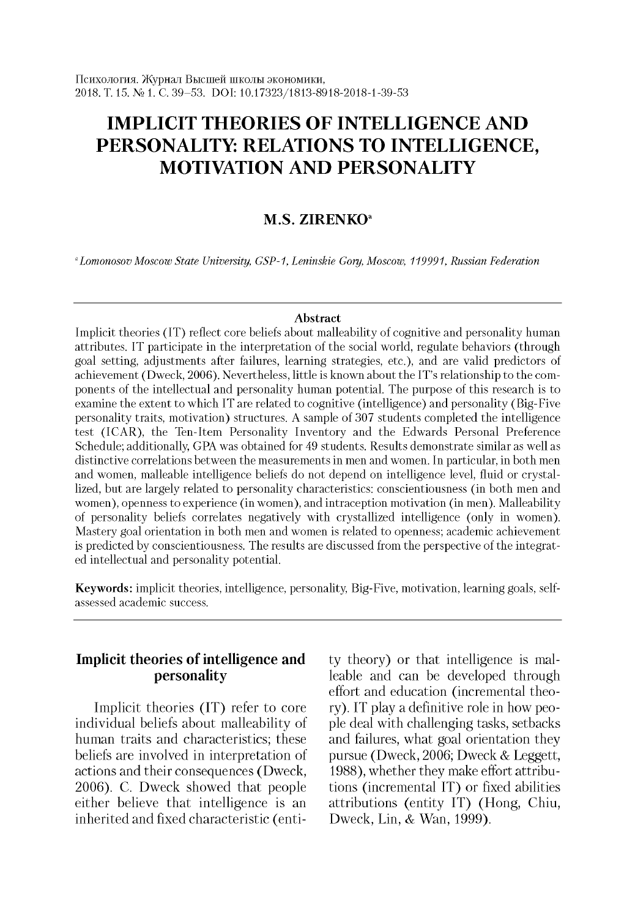# **IMPLICIT THEORIES OF INTELLIGENCE AND PERSONALITY: RELATIONS TO INTELLIGENCE, MOTIVATION AND PERSONALITY**

## **M.S. ZIRENKO**

*aLomonosov Moscow State University, GSP-1, Leninskie Gory, Moscow, 119991, Russian Federation*

#### **Abstract**

Implicit theories (IT ) reflect core beliefs about malleability of cognitive and personality human attributes. IT participate in the interpretation of the social world, regulate behaviors (through goal setting, adjustments after failures, learning strategies, etc.), and are valid predictors of achievement (Dweck, 2006). Nevertheless, little is known about the IT's relationship to the components of the intellectual and personality human potential. The purpose of this research is to examine the extent to which IT are related to cognitive (intelligence) and personality (Big-Five personality traits, motivation) structures. A sample of 307 students completed the intelligence test (ICAR), the Ten-Item Personality Inventory and the Edwards Personal Preference Schedule; additionally, GPA was obtained for 49 students. Results demonstrate similar as well as distinctive correlations between the measurements in men and women. In particular, in both men and women, malleable intelligence beliefs do not depend on intelligence level, fluid or crystallized, but are largely related to personality characteristics: conscientiousness (in both men and women), openness to experience (in women), and intraception motivation (in men). Malleability of personality beliefs correlates negatively w ith crystallized intelligence (only in women). Mastery goal orientation in both men and women is related to openness; academic achievement is predicted by conscientiousness. The results are discussed from the perspective of the integrated intellectual and personality potential.

**Keywords:** implicit theories, intelligence, personality, Big-Five, motivation, learning goals, selfassessed academic success.

## **Implicit theories of intelligence and personality**

Implicit theories (IT) refer to core individual beliefs about malleability of human traits and characteristics; these beliefs are involved in interpretation of actions and their consequences (Dweck, 2006). C. Dweck showed that people either believe that intelligence is an inherited and fixed characteristic (entity theory) or that intelligence is malleable and can be developed through effort and education (incremental theory). IT play a definitive role in how people deal with challenging tasks, setbacks and failures, what goal orientation they pursue (Dweck, 2006; Dweck & Leggett, 1988), whether they make effort attributions (incremental IT) or fixed abilities attributions (entity IT) (Hong, Chiu, Dweck, Lin, & Wan, 1999).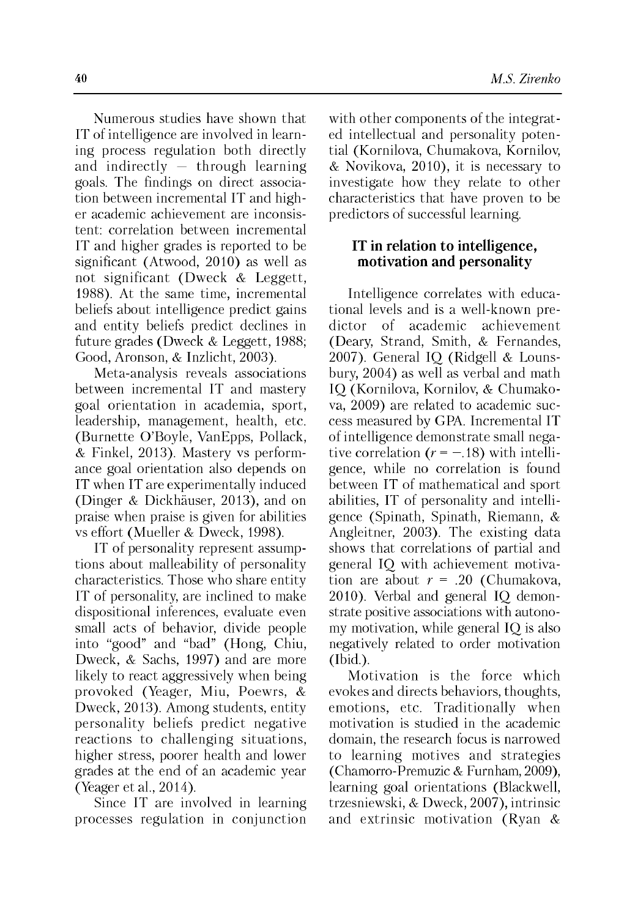Numerous studies have shown that IT of intelligence are involved in learning process regulation both directly and indirectly — through learning goals. The findings on direct association between incremental IT and higher academic achievement are inconsistent: correlation between incremental IT and higher grades is reported to be significant (Atwood, 2010) as well as not significant (Dweck & Leggett, 1988). At the same time, incremental beliefs about intelligence predict gains and entity beliefs predict declines in future grades (Dweck & Leggett, 1988; Good, Aronson, & Inzlicht, 2003).

Meta-analysis reveals associations between incremental IT and mastery goal orientation in academia, sport, leadership, management, health, etc. (Burnette O 'Boyle, VanEpps, Pollack, & Finkel, 2013). Mastery vs performance goal orientation also depends on IT when IT are experimentally induced (Dinger & Dickhauser, 2013), and on praise when praise is given for abilities vs effort (Mueller & Dweck, 1998).

IT of personality represent assumptions about malleability of personality characteristics. Those who share entity IT of personality, are inclined to make dispositional inferences, evaluate even small acts of behavior, divide people into "good" and "bad" (Hong, Chiu, Dweck, & Sachs, 1997) and are more likely to react aggressively when being provoked (Yeager, Miu, Poewrs, & Dweck, 2013). Among students, entity personality beliefs predict negative reactions to challenging situations, higher stress, poorer health and lower grades at the end of an academic year (Yeager et al., 2014).

Since IT are involved in learning processes regulation in conjunction with other components of the integrated intellectual and personality potential (Kornilova, Chumakova, Kornilov, & Novikova, 2010), it is necessary to investigate how they relate to other characteristics that have proven to be predictors of successful learning.

## **IT in relation to intelligence, motivation and personality**

Intelligence correlates with educational levels and is a well-known predictor of academic achievement (Deary, Strand, Smith, & Fernandes, 2007). General IQ (Ridgell & Lounsbury, 2004) as well as verbal and math IQ (Kornilova, Kornilov, & Chumakova, 2009) are related to academic success measured by GPA. Incremental IT of intelligence demonstrate small negative correlation  $(r = -.18)$  with intelligence, while no correlation is found between IT of mathematical and sport abilities, IT of personality and intelligence (Spinath, Spinath, Riemann, & Angleitner, 2003). The existing data shows that correlations of partial and general IQ with achievement motivation are about  $r = .20$  (Chumakova, 2010). Verbal and general IQ demonstrate positive associations with autonomy motivation, while general IQ is also negatively related to order motivation (Ibid.).

Motivation is the force which evokes and directs behaviors, thoughts, emotions, etc. Traditionally when motivation is studied in the academic domain, the research focus is narrowed to learning motives and strategies (Chamorro-Premuzic & Furnham, 2009), learning goal orientations (Blackwell, trzesniewski, & Dweck, 2007), intrinsic and extrinsic motivation (Ryan  $\&$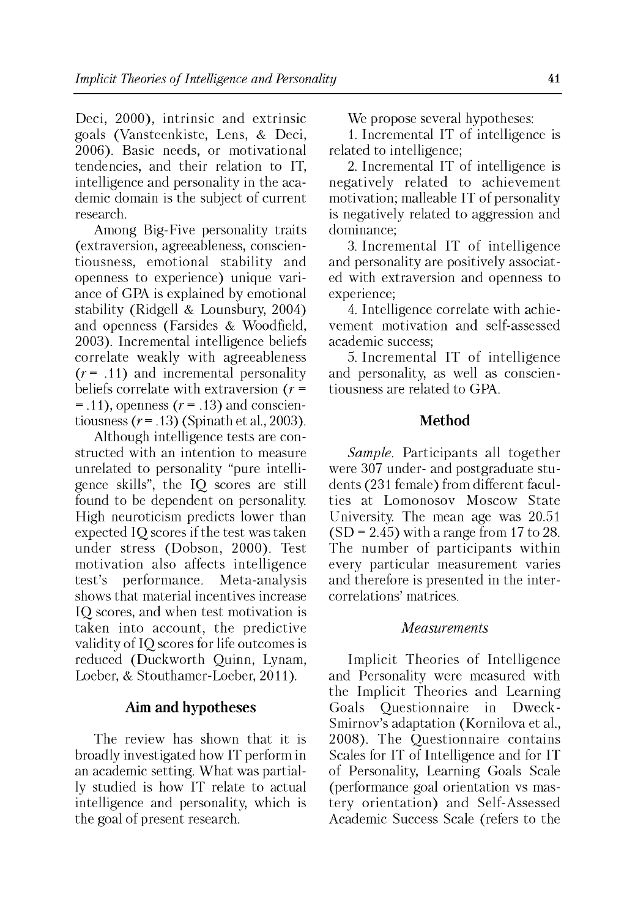Deci, 2000), intrinsic and extrinsic goals (Vansteenkiste, Lens, & Deci, 2006). Basic needs, or motivational tendencies, and their relation to IT, intelligence and personality in the academic domain is the subject of current research.

Among Big-Five personality traits (extraversion, agreeableness, conscientiousness, em otional stability and openness to experience) unique variance of GPA is explained by emotional stability (Ridgell & Lounsbury, 2004) and openness (Farsides & Woodfield, 2003). Incremental intelligence beliefs correlate weakly with agreeableness  $(r = .11)$  and incremental personality beliefs correlate with extraversion  $(r =$  $=$  .11), openness ( $r = .13$ ) and conscientiousness  $(r = .13)$  (Spinath et al., 2003).

Although intelligence tests are constructed with an intention to measure unrelated to personality "pure intelligence skills", the IQ scores are still found to be dependent on personality. High neuroticism predicts lower than expected IQ scores if the test was taken under stress (Dobson, 2000). Test motivation also affects intelligence test's performance. Meta-analysis shows that material incentives increase IQ scores, and when test motivation is taken into account, the predictive validity of IQ scores for life outcomes is reduced (Duckworth Quinn, Lynam, Loeber, & Stouthamer-Loeber, 2011).

### **Aim and hypotheses**

The review has shown that it is broadly investigated how IT perform in an academic setting. W hat was partially studied is how IT relate to actual intelligence and personality, which is the goal of present research.

We propose several hypotheses:

1. Incremental IT of intelligence is related to intelligence;

2. Incremental IT of intelligence is negatively related to achievement motivation; malleable IT of personality is negatively related to aggression and dominance;

3. Incremental IT of intelligence and personality are positively associated with extraversion and openness to experience;

4. Intelligence correlate with achievement motivation and self-assessed academic success;

5. Increm ental IT of intelligence and personality, as well as conscientiousness are related to GPA.

#### **Method**

*Sample.* Participants all together were 307 under- and postgraduate students (231 female) from different faculties at Lomonosov Moscow State University. The mean age was 20.51  $(SD = 2.45)$  with a range from 17 to 28. The number of participants within every particular measurement varies and therefore is presented in the intercorrelations' matrices.

#### *Measurements*

Implicit Theories of Intelligence and Personality were measured with the Implicit Theories and Learning Goals Q uestionnaire in Dweck-Smirnov's adaptation (Kornilova et al., 2008). The Questionnaire contains Scales for IT of Intelligence and for IT of Personality, Learning Goals Scale (performance goal orientation vs mastery orientation) and Self-Assessed Academic Success Scale (refers to the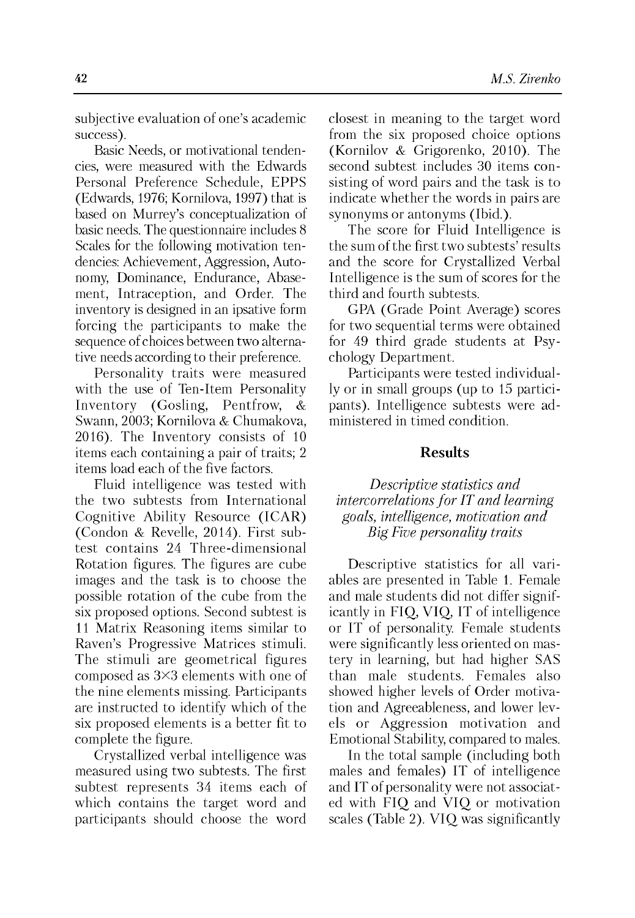subjective evaluation of one's academic success).

Basic Needs, or motivational tendencies, were measured with the Edwards Personal Preference Schedule, EPPS (Edwards, 1976; Kornilova, 1997) that is based on Murrey's conceptualization of basic needs. The questionnaire includes 8 Scales for the following motivation tendencies: Achievement, Aggression, Autonomy, Dominance, Endurance, Abasement, Intraception, and Order. The inventory is designed in an ipsative form forcing the participants to make the sequence of choices between two alternative needs according to their preference.

Personality traits were measured with the use of Ten-Item Personality Inventory (Gosling, Pentfrow, & Swann, 2003; Kornilova & Chumakova, 2016). The Inventory consists of 10 items each containing a pair of traits; 2 items load each of the five factors.

Fluid intelligence was tested with the two subtests from International Cognitive Ability Resource (ICAR) (Condon & Revelle, 2014). First subtest contains 24 Three-dimensional Rotation figures. The figures are cube images and the task is to choose the possible rotation of the cube from the six proposed options. Second subtest is 11 Matrix Reasoning items similar to Raven's Progressive Matrices stimuli. The stimuli are geometrical figures composed as 3X3 elements with one of the nine elements missing. Participants are instructed to identify which of the six proposed elements is a better fit to complete the figure.

Crystallized verbal intelligence was measured using two subtests. The first subtest represents 34 items each of which contains the target word and participants should choose the word closest in meaning to the target word from the six proposed choice options (Kornilov & Grigorenko, 2010). The second subtest includes 30 items consisting of word pairs and the task is to indicate whether the words in pairs are synonyms or antonyms (Ibid.).

The score for Fluid Intelligence is the sum of the first two subtests' results and the score for Crystallized Verbal Intelligence is the sum of scores for the third and fourth subtests.

GPA (Grade Point Average) scores for two sequential terms were obtained for 49 third grade students at Psychology Department.

Participants were tested individually or in small groups (up to 15 participants). Intelligence subtests were administered in timed condition.

## **Results**

## *Descriptive statistics and intercorrelations for IT and learning goals, intelligence, motivation and Big Five personality traits*

Descriptive statistics for all variables are presented in Table 1. Female and male students did not differ significantly in FIQ, VIQ, IT of intelligence or IT of personality. Female students were significantly less oriented on mastery in learning, but had higher SAS than male students. Females also showed higher levels of Order motivation and Agreeableness, and lower levels or Aggression motivation and Emotional Stability, compared to males.

In the total sample (including both males and females) IT of intelligence and IT of personality were not associated with FIQ and VIQ or motivation scales (Table 2). VIO was significantly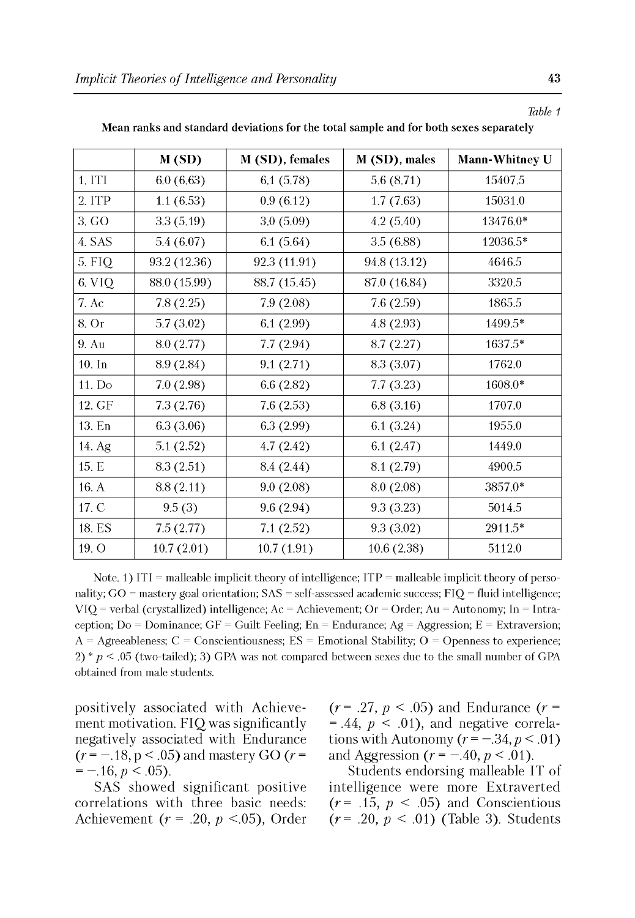|          | M(SD)        | M (SD), females | M (SD), males | Mann-Whitney U |
|----------|--------------|-----------------|---------------|----------------|
| 1. ITI   | 6.0(6.63)    | 6.1(5.78)       | 5.6(8.71)     | 15407.5        |
| 2. ITP   | 1.1(6.53)    | 0.9(6.12)       | 1.7(7.63)     | 15031.0        |
| 3. GO    | 3.3(5.19)    | 3.0(5.09)       | 4.2(5.40)     | 13476.0*       |
| 4. SAS   | 5.4(6.07)    | 6.1(5.64)       | 3.5(6.88)     | 12036.5*       |
| 5. FIQ   | 93.2 (12.36) | 92.3 (11.91)    | 94.8 (13.12)  | 4646.5         |
| 6. VIQ   | 88.0 (15.99) | 88.7 (15.45)    | 87.0 (16.84)  | 3320.5         |
| 7. Ac    | 7.8(2.25)    | 7.9(2.08)       | 7.6(2.59)     | 1865.5         |
| 8. Or    | 5.7(3.02)    | 6.1(2.99)       | 4.8(2.93)     | 1499.5*        |
| 9. Au    | 8.0(2.77)    | 7.7(2.94)       | 8.7(2.27)     | 1637.5*        |
| $10.$ In | 8.9 (2.84)   | 9.1(2.71)       | 8.3 (3.07)    | 1762.0         |
| 11. Do   | 7.0(2.98)    | 6.6(2.82)       | 7.7(3.23)     | 1608.0*        |
| 12. GF   | 7.3(2.76)    | 7.6(2.53)       | 6.8(3.16)     | 1707.0         |
| 13. En   | 6.3(3.06)    | 6.3 (2.99)      | 6.1(3.24)     | 1955.0         |
| 14. Ag   | 5.1(2.52)    | 4.7(2.42)       | 6.1(2.47)     | 1449.0         |
| 15. E    | 8.3(2.51)    | 8.4 (2.44)      | 8.1 (2.79)    | 4900.5         |
| 16. A    | 8.8(2.11)    | 9.0(2.08)       | 8.0(2.08)     | 3857.0*        |
| 17. C    | 9.5(3)       | 9.6(2.94)       | 9.3(3.23)     | 5014.5         |
| 18. ES   | 7.5(2.77)    | 7.1(2.52)       | 9.3(3.02)     | 2911.5*        |
| 19. O    | 10.7(2.01)   | 10.7(1.91)      | 10.6(2.38)    | 5112.0         |

Mean ranks and standard deviations for the total sample and for both sexes separately

Note. 1) ITI = malleable implicit theory of intelligence;  $ITP$  = malleable implicit theory of personality; GO = mastery goal orientation; SAS = self-assessed academic success; FIQ = fluid intelligence;  $VIQ = verbal (crystalized) intelligence; Ac = Achievement; Or = Order; Au = Autonomy; In = Intra$ ception; Do = Dominance; GF = Guilt Feeling; En = Endurance; Ag = Aggression; E = Extraversion;  $A = \text{Agreeableness}$ ; C = Conscientiousness; ES = Emotional Stability; O = Openness to experience; 2) \*  $p < .05$  (two-tailed); 3) GPA was not compared between sexes due to the small number of GPA obtained from male students.

positively associated with Achievement motivation. FIQ was significantly negatively associated with Endurance  $(r = -.18, p < .05)$  and mastery GO  $(r =$  $=-.16, p < .05$ ).

SAS showed significant positive correlations with three basic needs: Achievement ( $r = .20$ ,  $p < .05$ ), Order  $(r = .27, p < .05)$  and Endurance  $(r =$  $= .44, p < .01$ , and negative correlations with Autonomy  $(r = -.34, p < .01)$ and Aggression  $(r = -.40, p < .01)$ .

Students endorsing malleable IT of intelligence were more Extraverted  $(r = .15, p < .05)$  and Conscientious  $(r = .20, p < .01)$  (Table 3). Students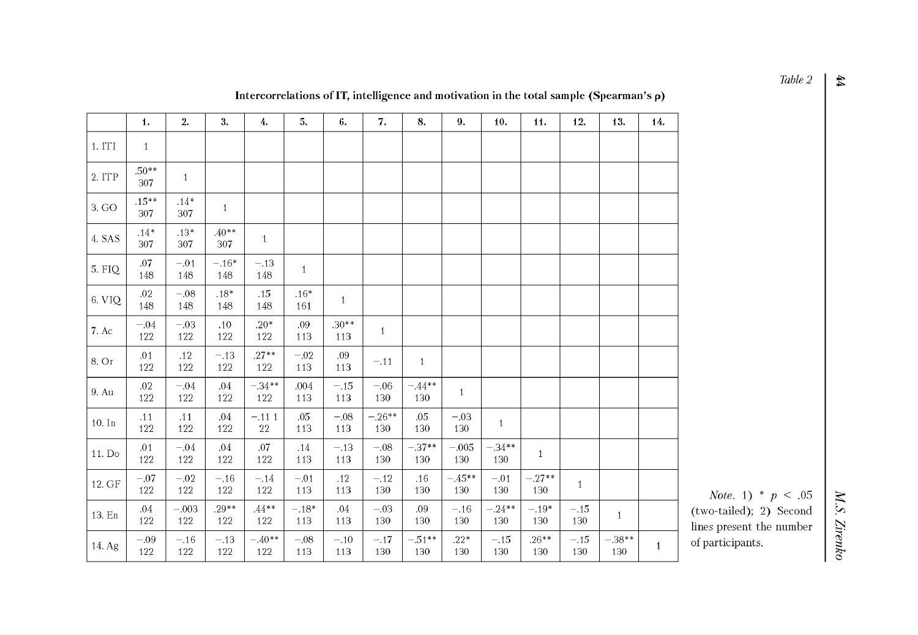|          | 1.              | 2.             | 3.             | 4.             | 5.             | 6.             | 7.              | 8.              | 9.              | 10.             | 11.             | 12.           | 13.            | 14.          |
|----------|-----------------|----------------|----------------|----------------|----------------|----------------|-----------------|-----------------|-----------------|-----------------|-----------------|---------------|----------------|--------------|
| 1. ITI   | $\mathbf{1}$    |                |                |                |                |                |                 |                 |                 |                 |                 |               |                |              |
| 2. ITP   | $.50**$<br>307  | $\mathbf{1}$   |                |                |                |                |                 |                 |                 |                 |                 |               |                |              |
| 3. GO    | $.15***$<br>307 | $.14*$<br>307  | $\mathbf{1}$   |                |                |                |                 |                 |                 |                 |                 |               |                |              |
| 4. SAS   | $.14*$<br>307   | $.13*$<br>307  | $.40**$<br>307 | $\mathbf{1}$   |                |                |                 |                 |                 |                 |                 |               |                |              |
| 5. FIQ   | .07<br>148      | $-.01$<br>148  | $-.16*$<br>148 | $-.13$<br>148  | $\mathbf{1}$   |                |                 |                 |                 |                 |                 |               |                |              |
| 6. VIQ   | .02<br>148      | $-.08$<br>148  | $.18*$<br>148  | $.15$<br>148   | $.16*$<br>161  | $\mathbf{1}$   |                 |                 |                 |                 |                 |               |                |              |
| 7. Ac    | $-.04$<br>122   | $-.03$<br>122  | $.10\,$<br>122 | $.20*$<br>122  | .09<br>113     | $.30**$<br>113 | $\mathbf{1}$    |                 |                 |                 |                 |               |                |              |
| 8. Or    | .01<br>122      | $.12\,$<br>122 | $-.13$<br>122  | $.27**$<br>122 | $\!-02$<br>113 | .09<br>113     | $-11$           | $\mathbf{1}$    |                 |                 |                 |               |                |              |
| 9. Au    | .02<br>122      | $-.04$<br>122  | .04<br>122     | $-34**$<br>122 | .004<br>113    | $-.15$<br>113  | $-06$<br>130    | $-.44**$<br>130 | $\mathbf{1}$    |                 |                 |               |                |              |
| $10.$ In | .11<br>122      | .11<br>122     | $.04\,$<br>122 | $-.1111$<br>22 | $.05\,$<br>113 | $-.08$<br>113  | $-.26**$<br>130 | .05<br>130      | $-.03$<br>130   | $\mathbf{1}$    |                 |               |                |              |
| 11. Do   | .01<br>122      | $-04$<br>122   | .04<br>122     | .07<br>122     | .14<br>113     | $-.13$<br>113  | $-.08$<br>130   | $-.37**$<br>130 | $-0.05$<br>130  | $-34**$<br>130  | $\mathbf{1}$    |               |                |              |
| 12. GF   | $-.07$<br>122   | $-.02$<br>122  | $-.16$<br>122  | $-.14$<br>122  | $-.01$<br>113  | .12<br>113     | $-.12$<br>130   | .16<br>130      | $-.45**$<br>130 | $-.01$<br>130   | $-.27**$<br>130 | $\mathbf{1}$  |                |              |
| 13. En   | .04<br>122      | $-.003$<br>122 | $.29**$<br>122 | $.44**$<br>122 | $-.18*$<br>113 | .04<br>113     | $-03$<br>130    | .09<br>130      | $-.16$<br>130   | $-.24**$<br>130 | $-.19*$<br>130  | $-.15$<br>130 | $\mathbf{1}$   |              |
| 14. Ag   | $-.09$<br>122   | $-.16$<br>122  | $-.13$<br>122  | $-40**$<br>122 | $-08$<br>113   | $-.10$<br>113  | $-17$<br>130    | $-51**$<br>130  | $.22*$<br>130   | $-.15$<br>130   | $.26**$<br>130  | $-.15$<br>130 | $-38**$<br>130 | $\mathbf{1}$ |

# Intercorrelations of IT, intelligence and motivation in the total sample (Spearman's p)

Vote. 1) \*  $p < .05$ <br>
b-tailed); 2) Second<br>
expresent the number rticipants.

Table 2 ħ

M.S. Zirenko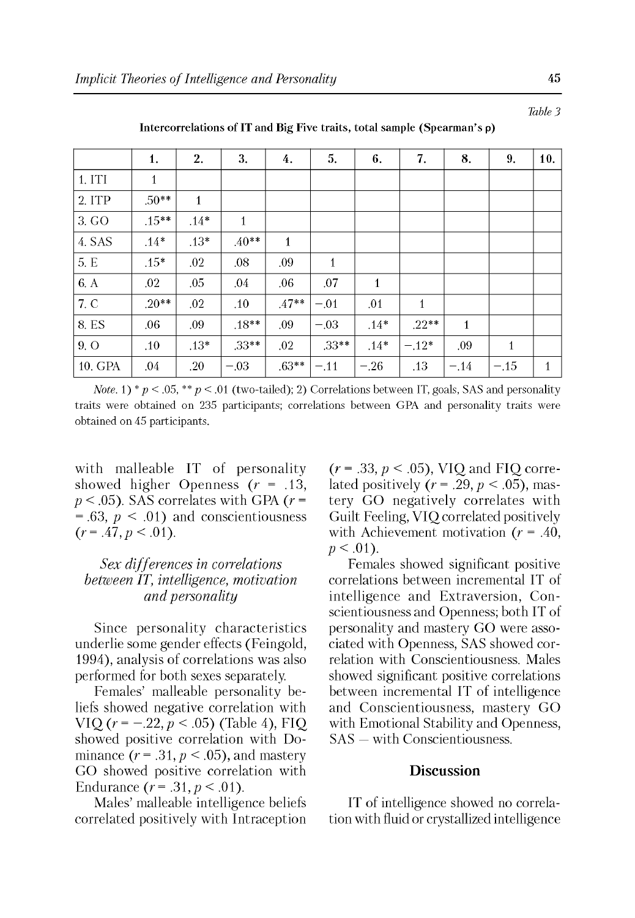|                 | 1.           | 2.          | 3.           | 4.           | 5.           | 6.     | 7.           | 8.           | 9.           | 10.          |
|-----------------|--------------|-------------|--------------|--------------|--------------|--------|--------------|--------------|--------------|--------------|
| 1. ITI          | $\mathbf{1}$ |             |              |              |              |        |              |              |              |              |
| 2. ITP          | $.50**$      | $\mathbf 1$ |              |              |              |        |              |              |              |              |
| 3. GO           | $.15***$     | $.14*$      | $\mathbf{1}$ |              |              |        |              |              |              |              |
| 4. SAS          | $.14*$       | $.13*$      | $.40**$      | $\mathbf{1}$ |              |        |              |              |              |              |
| 5. E            | $.15*$       | .02         | .08          | .09          | $\mathbf{1}$ |        |              |              |              |              |
| 6. A            | .02          | .05         | .04          | .06          | .07          | 1      |              |              |              |              |
| 7. C            | $.20**$      | $.02\,$     | .10          | $.47**$      | $-.01$       | .01    | $\mathbf{1}$ |              |              |              |
| 8. ES           | .06          | .09         | $.18**$      | .09          | $-.03$       | $.14*$ | $.22**$      | $\mathbf{1}$ |              |              |
| 9. O            | .10          | $.13*$      | $.33***$     | .02          | $.33***$     | $.14*$ | $-12*$       | .09          | $\mathbf{1}$ |              |
| $\vert$ 10. GPA | .04          | .20         | $-.03$       | $.63**$      | $-.11$       | $-.26$ | .13          | $-.14$       | $-.15$       | $\mathbf{1}$ |

Intercorrelations of IT and Big Five traits, total sample (Spearman's p)

*Note*. 1) \*  $p < .05$ , \*\*  $p < .01$  (two-tailed); 2) Correlations between IT, goals, SAS and personality traits were obtained on 235 participants; correlations between GPA and personality traits were obtained on 45 participants.

with malleable IT of personality showed higher Openness  $(r = .13, )$  $p < .05$ ). SAS correlates with GPA ( $r =$  $= .63, p < .01$  and conscientiousness  $(r=.47, p < .01).$ 

## Sex differences in correlations between IT, intelligence, motivation and personality

Since personality characteristics underlie some gender effects (Feingold, 1994), analysis of correlations was also performed for both sexes separately.

Females' malleable personality beliefs showed negative correlation with VIQ  $(r = -.22, p < .05)$  (Table 4), FIQ showed positive correlation with Dominance  $(r=.31, p < .05)$ , and mastery GO showed positive correlation with Endurance  $(r = .31, p < .01)$ .

Males' malleable intelligence beliefs correlated positively with Intraception  $(r=.33, p < .05)$ , VIQ and FIQ correlated positively ( $r = .29$ ,  $p < .05$ ), mastery GO negatively correlates with Guilt Feeling, VIO correlated positively with Achievement motivation  $(r = .40, ...)$  $p < .01$ ).

Females showed significant positive correlations between incremental IT of intelligence and Extraversion, Conscientiousness and Openness; both IT of personality and mastery GO were associated with Openness, SAS showed correlation with Conscientiousness. Males showed significant positive correlations between incremental IT of intelligence and Conscientiousness, mastery GO with Emotional Stability and Openness,  $SAS - with Conscientiousness.$ 

### **Discussion**

IT of intelligence showed no correlation with fluid or crystallized intelligence

Table 3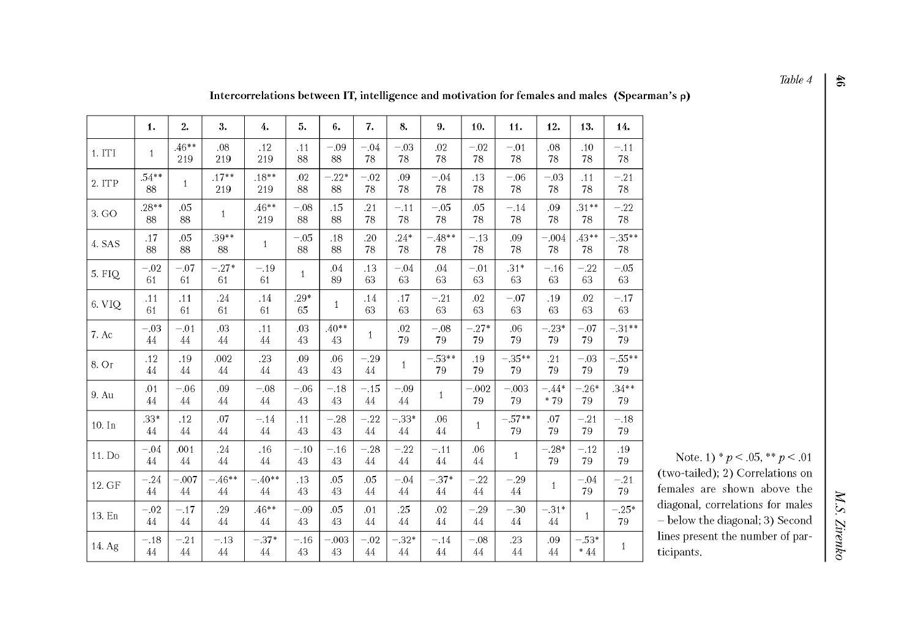# *Table 4*  $\mid \xi$

**Intercorrelations between IT, intelligence and motivation for females and males (Spearman's p)**

|          | $\mathbf{1}$ . | 2.                | 3.               | 4.                | 5.           | 6.            | 7.              | 8.            | 9.               | 10.           | 11.              | 12.              | 13.                   | 14.            |
|----------|----------------|-------------------|------------------|-------------------|--------------|---------------|-----------------|---------------|------------------|---------------|------------------|------------------|-----------------------|----------------|
| 1.1TI    | $\mathbf{1}$   | $.46**$<br>219    | .08<br>219       | .12<br>219        | .11<br>88    | $-.09$<br>88  | $-.04$<br>78    | $-.03$<br>78  | .02<br>78        | $-.02$<br>78  | $-.01$<br>78     | .08<br>78        | .10<br>78             | $-.11$<br>78   |
| 2. ITP   | $.54**$<br>88  | $\mathbf{1}$      | $.17**$<br>219   | $.18**$<br>219    | .02<br>88    | $-.22*$<br>88 | $-.02$<br>78    | .09<br>78     | $-.04$<br>78     | .13<br>78     | $-.06$<br>78     | $-.03$<br>78     | .11<br>78             | $-.21$<br>78   |
| 3. GO    | $.28**$<br>88  | .05<br>88         | 1                | $.46**$<br>219    | $-08$<br>88  | .15<br>88     | .21<br>78       | $-.11$<br>78  | $-0.5$<br>78     | .05<br>78     | $-14$<br>78      | .09<br>78        | $.31**$<br>78         | $-.22$<br>78   |
| 4. SAS   | .17<br>88      | .05<br>88         | $39**$<br>88     | $\mathbf{1}$      | $-.05$<br>88 | .18<br>88     | .20<br>78       | $.24*$<br>78  | $-48**$<br>78    | $-.13$<br>78  | .09<br>78        | $-.004$<br>78    | $.43**$<br>78         | $-.35**$<br>78 |
| 5. FIO   | $-02$<br>61    | $-07$<br>61       | $-27*$<br>61     | $-19$<br>61       | $\mathbf{1}$ | .04<br>89     | .13<br>63       | $-.04$<br>63  | $.04\,$<br>63    | $-01$<br>63   | $31*$<br>63      | $-.16$<br>63     | $-22$<br>63           | $-.05$<br>63   |
| 6. VIQ   | .11<br>61      | .11<br>61         | .24<br>61        | .14<br>61         | $.29*$<br>65 | $\mathbf{1}$  | .14<br>63       | .17<br>63     | $-.21$<br>63     | .02<br>63     | $-07$<br>63      | .19<br>63        | .02<br>63             | $-.17$<br>63   |
| 7. Ac    | $-.03$<br>44   | $-.01$<br>44      | .03<br>44        | .11<br>$44\,$     | .03<br>43    | $.40**$<br>43 | $\mathbf{1}$    | .02<br>79     | $-.08$<br>79     | $-.27*$<br>79 | .06<br>79        | $-.23*$<br>79    | $-.07$<br>79          | $-.31**$<br>79 |
| 8. Or    | .12<br>44      | .19<br>44         | .002<br>44       | .23<br>44         | .09<br>43    | .06<br>43     | $-29$<br>$44\,$ | $\mathbf{1}$  | $-53**$<br>79    | .19<br>79     | $-.35**$<br>79   | .21<br>79        | $-03$<br>79           | $-.55**$<br>79 |
| 9. Au    | .01<br>44      | $-.06$<br>44      | .09<br>44        | $-08$<br>44       | $-.06$<br>43 | $-.18$<br>43  | $-.15$<br>44    | $-.09$<br>44  | $\mathbf{1}$     | $-.002$<br>79 | $-0.03$<br>79    | $-.44*$<br>$*79$ | $-.26*$<br>79         | $.34**$<br>79  |
| $10.$ In | $.33*$<br>44   | .12<br>44         | .07<br>44        | $-.14$<br>44      | .11<br>43    | $-.28$<br>43  | $-.22$<br>44    | $-.33*$<br>44 | .06<br>44        | $\mathbf{1}$  | $-.57**$<br>79   | .07<br>79        | $-.21$<br>79          | $-.18$<br>79   |
| 11. Do   | $-.04$<br>44   | .001<br>44        | .24<br>44        | .16<br>44         | $-.10$<br>43 | $-.16$<br>43  | $-.28$<br>44    | $-.22$<br>44  | $-.11$<br>$44\,$ | .06<br>44     | $\mathbf{1}$     | $-.28*$<br>79    | $-.12$<br>79          | .19<br>79      |
| 12. GF   | $-.24$<br>44   | $-.007$<br>$44\,$ | $-46**$<br>44    | $-.40**$<br>44    | .13<br>43    | .05<br>43     | .05<br>44       | $-.04$<br>44  | $-.37*$<br>44    | $-.22$<br>44  | $-.29$<br>$44\,$ | $\mathbf{1}$     | $-04$<br>79           | $-.21$<br>79   |
| 13. En   | $-.02$<br>44   | $-.17$<br>44      | .29<br>44        | $.46**$<br>$44\,$ | $-.09$<br>43 | .05<br>43     | .01<br>44       | .25<br>44     | .02<br>44        | $-29$<br>44   | $-.30$<br>44     | $-.31*$<br>44    | $\mathbf{1}$          | $-.25*$<br>79  |
| 14. Ag   | $-.18$<br>44   | $-.21$<br>$44\,$  | $-.13$<br>$44\,$ | $-.37*$<br>$44\,$ | $-.16$<br>43 | $-.003$<br>43 | $-.02$<br>44    | $-.32*$<br>44 | $-.14$<br>$44\,$ | $-.08$<br>44  | .23<br>44        | .09<br>$44\,$    | $-.53*$<br>$^\ast$ 44 | $\mathbf{1}$   |

Note. 1) \* *p <* .05, \*\* *p <* .01 (two-tailed); 2) Correlations on females are shown above the diagonal, correlations for males - below the diagonal; 3) Second lines present the number of participants.

M.S. Zirenko *M.S. Zirenko*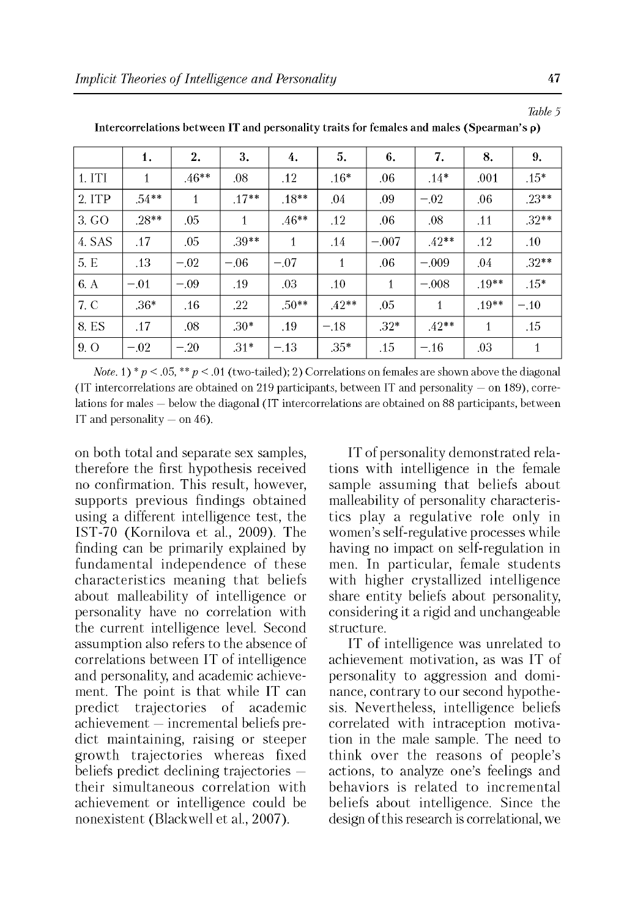|        | 1.      | 2.           | 3.      | 4.           | 5.      | 6.          | 7.          | 8.      | 9.      |
|--------|---------|--------------|---------|--------------|---------|-------------|-------------|---------|---------|
| 1. ITI | 1       | $.46**$      | .08     | .12          | $.16*$  | .06         | $.14*$      | .001    | $.15*$  |
| 2. ITP | $.54**$ | $\mathbf{1}$ | $.17**$ | $.18**$      | .04     | .09         | $-.02$      | .06     | $23**$  |
| 3. GO  | $.28**$ | .05          | 1       | $.46**$      | .12     | .06         | .08         | .11     | $.32**$ |
| 4. SAS | .17     | .05          | $.39**$ | $\mathbf{1}$ | .14     | $-.007$     | $.42**$     | .12     | .10     |
| 5. E   | .13     | $-.02$       | $-.06$  | $-.07$       | 1       | .06         | $-.009$     | .04     | $.32**$ |
| 6. A   | $-.01$  | $-.09$       | .19     | .03          | .10     | $\mathbf 1$ | $-.008$     | $.19**$ | $.15*$  |
| 7. C   | $.36*$  | .16          | .22     | $.50**$      | $.42**$ | .05         | $\mathbf 1$ | $.19**$ | $-.10$  |
| 8. ES  | .17     | .08          | $.30*$  | .19          | $-.18$  | $.32*$      | $.42**$     | 1       | .15     |
| 9. O   | $-.02$  | $-.20$       | $.31*$  | $-.13$       | $.35*$  | .15         | $-.16$      | .03     | 1       |

Intercorrelations between IT and personality traits for females and males (Spearman's p)

*Note*. 1) \*  $p < .05$ , \*\*  $p < .01$  (two-tailed); 2) Correlations on females are shown above the diagonal (IT intercorrelations are obtained on 219 participants, between IT and personality  $-$  on 189), correlations for males – below the diagonal (IT intercorrelations are obtained on 88 participants, between IT and personality  $-$  on 46).

on both total and separate sex samples, therefore the first hypothesis received no confirmation. This result, however, supports previous findings obtained using a different intelligence test, the IST-70 (Kornilova et al., 2009). The finding can be primarily explained by fundamental independence of these characteristics meaning that beliefs about malleability of intelligence or personality have no correlation with the current intelligence level. Second assumption also refers to the absence of correlations between IT of intelligence and personality, and academic achievement. The point is that while IT can trajectories of predict academic  $achievement - incremental beliefs pre$ dict maintaining, raising or steeper growth trajectories whereas fixed beliefs predict declining trajectories – their simultaneous correlation with achievement or intelligence could be nonexistent (Blackwell et al., 2007).

IT of personality demonstrated relations with intelligence in the female sample assuming that beliefs about malleability of personality characteristics play a regulative role only in women's self-regulative processes while having no impact on self-regulation in men. In particular, female students with higher crystallized intelligence share entity beliefs about personality, considering it a rigid and unchangeable structure.

IT of intelligence was unrelated to achievement motivation, as was IT of personality to aggression and dominance, contrary to our second hypothesis. Nevertheless, intelligence beliefs correlated with intraception motivation in the male sample. The need to think over the reasons of people's actions, to analyze one's feelings and behaviors is related to incremental beliefs about intelligence. Since the design of this research is correlational, we

Table 5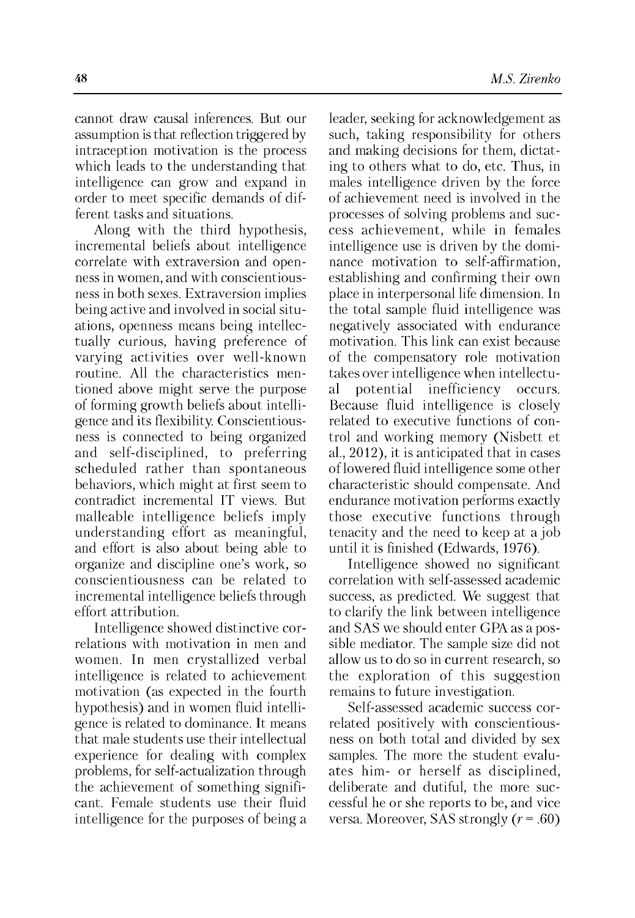cannot draw causal inferences. But our assumption is that reflection triggered by intraception motivation is the process which leads to the understanding that intelligence can grow and expand in order to meet specific demands of different tasks and situations.

Along with the third hypothesis, incremental beliefs about intelligence correlate with extraversion and openness in women, and with conscientiousness in both sexes. Extraversion implies being active and involved in social situations, openness means being intellectually curious, having preference of varying activities over well-known routine. All the characteristics mentioned above might serve the purpose of forming growth beliefs about intelligence and its flexibility. Conscientiousness is connected to being organized and self-disciplined, to preferring scheduled rather than spontaneous behaviors, which might at first seem to contradict incremental IT views. But malleable intelligence beliefs imply understanding effort as meaningful, and effort is also about being able to organize and discipline one's work, so conscientiousness can be related to incremental intelligence beliefs through effort attribution.

Intelligence showed distinctive correlations with motivation in men and women. In men crystallized verbal intelligence is related to achievement motivation (as expected in the fourth hypothesis) and in women fluid intelligence is related to dominance. It means that male students use their intellectual experience for dealing with complex problems, for self-actualization through the achievement of something significant. Female students use their fluid intelligence for the purposes of being a leader, seeking for acknowledgement as such, taking responsibility for others and making decisions for them, dictating to others what to do, etc. Thus, in males intelligence driven by the force of achievement need is involved in the processes of solving problems and success achievement, while in females intelligence use is driven by the dominance motivation to self-affirmation, establishing and confirming their own place in interpersonal life dimension. In the total sample fluid intelligence was negatively associated with endurance motivation. This link can exist because of the compensatory role motivation takes over intelligence when intellectual potential inefficiency occurs. Because fluid intelligence is closely related to executive functions of control and working memory (Nisbett et al., 2012), it is anticipated that in cases of lowered fluid intelligence some other characteristic should compensate. And endurance motivation performs exactly those executive functions through tenacity and the need to keep at a job until it is finished (Edwards, 1976).

Intelligence showed no significant correlation with self-assessed academic success, as predicted. We suggest that to clarify the link between intelligence and SAS we should enter GPA as a possible mediator. The sample size did not allow us to do so in current research, so the exploration of this suggestion remains to future investigation.

Self-assessed academic success correlated positively with conscientiousness on both total and divided by sex samples. The more the student evaluates him- or herself as disciplined, deliberate and dutiful, the more successful he or she reports to be, and vice versa. Moreover, SAS strongly  $(r = .60)$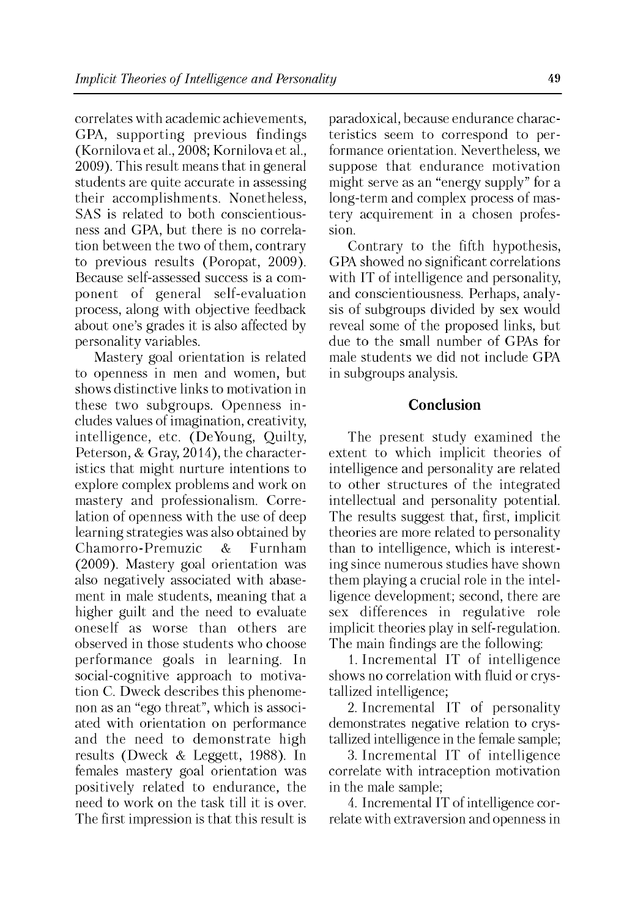correlates with academic achievements, GPA, supporting previous findings (Kornilova et al., 2008; Kornilova et al., 2009). This result means that in general students are quite accurate in assessing their accomplishments. Nonetheless, SAS is related to both conscientiousness and GPA, but there is no correlation between the two of them, contrary to previous results (Poropat, 2009). Because self-assessed success is a component of general self-evaluation process, along with objective feedback about one's grades it is also affected by personality variables.

Mastery goal orientation is related to openness in men and women, but shows distinctive links to motivation in these two subgroups. Openness includes values of imagination, creativity, intelligence, etc. (DeYoung, Quilty, Peterson, & Gray, 2014), the characteristics that might nurture intentions to explore complex problems and work on mastery and professionalism. Correlation of openness with the use of deep learning strategies was also obtained by Chamorro-Premuzic & Furnham (2009). Mastery goal orientation was also negatively associated with abasement in male students, meaning that a higher guilt and the need to evaluate oneself as worse than others are observed in those students who choose performance goals in learning. In social-cognitive approach to motivation C. Dweck describes this phenomenon as an "ego threat", which is associated with orientation on performance and the need to demonstrate high results (Dweck & Leggett, 1988). In females mastery goal orientation was positively related to endurance, the need to work on the task till it is over. The first impression is that this result is paradoxical, because endurance characteristics seem to correspond to performance orientation. Nevertheless, we suppose that endurance motivation might serve as an "energy supply" for a long-term and complex process of mastery acquirement in a chosen profession.

Contrary to the fifth hypothesis, GPA showed no significant correlations with IT of intelligence and personality, and conscientiousness. Perhaps, analysis of subgroups divided by sex would reveal some of the proposed links, but due to the small number of GPAs for male students we did not include GPA in subgroups analysis.

## **Conclusion**

The present study examined the extent to which implicit theories of intelligence and personality are related to other structures of the integrated intellectual and personality potential. The results suggest that, first, implicit theories are more related to personality than to intelligence, which is interesting since numerous studies have shown them playing a crucial role in the intelligence development; second, there are sex differences in regulative role implicit theories play in self-regulation. The main findings are the following:

1. Incremental IT of intelligence shows no correlation with fluid or crystallized intelligence;

2. Incremental IT of personality demonstrates negative relation to crystallized intelligence in the female sample;

3. Incremental IT of intelligence correlate with intraception motivation in the male sample;

4. Incremental IT of intelligence correlate with extraversion and openness in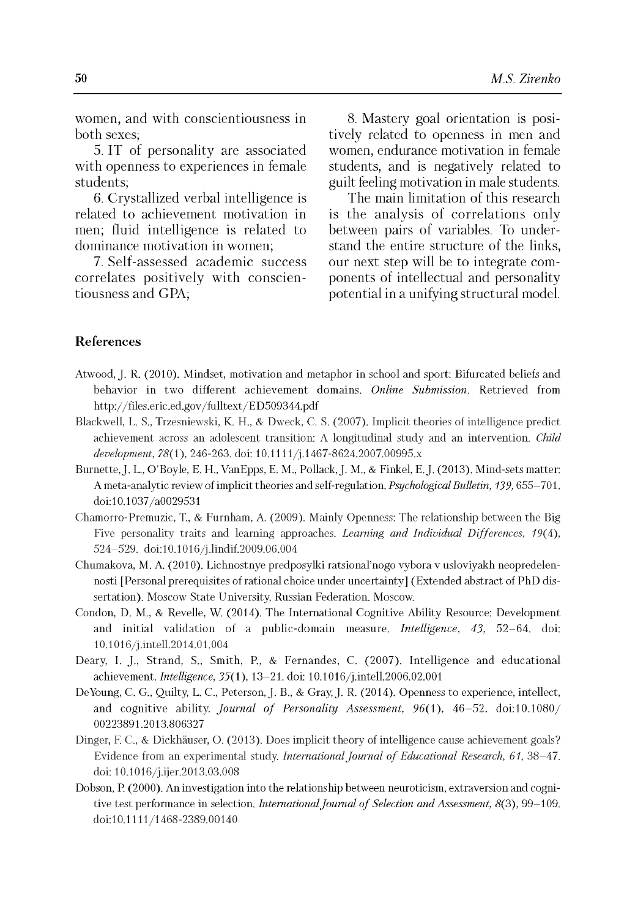women, and with conscientiousness in both sexes;

5. IT of personality are associated with openness to experiences in female students;

6. Crystallized verbal intelligence is related to achievement motivation in men; fluid intelligence is related to dominance motivation in women;

7. Self-assessed academic success correlates positively with conscientiousness and GPA;

8. Mastery goal orientation is positively related to openness in men and women, endurance motivation in female students, and is negatively related to guilt feeling motivation in male students.

The main limitation of this research is the analysis of correlations only between pairs of variables. To understand the entire structure of the links, our next step will be to integrate components of intellectual and personality potential in a unifying structural model.

### **References**

- Atwood, J. R. (2010). Mindset, motivation and metaphor in school and sport: Bifurcated beliefs and behavior in two different achievement domains. *Online Submission.* Retrieved from http: / / files.eric.ed.gov / fulltext/E D509344.pdf
- Blackwell, L. S., Trzesniewski, K. H., & Dweck, C. S. (2007). Implicit theories of intelligence predict achievement across an adolescent transition: A longitudinal study and an intervention. *Child development,* 78(1), 246-263. doi: 10.1111/j.1467-8624.2007.00995.x
- Burnette, J. L., O'Boyle, E. H., VanEpps, E. M., Pollack, J. M., & Finkel, E. J. (2013). Mind-sets matter: A meta-analytic review of implicit theories and self-regulation. *Psychological Bulletin, 139,* 655-701. doi: 10.1037/ a0029531
- Chamorro-Premuzic, T., & Furnham, A. (2009). Mainly Openness: The relationship between the Big Five personality traits and learning approaches. *Learning and Individual Differences,* 19(4), 524-529. doi:10.1016/j.lindif.2009.06.004
- Chumakova, M. A. (2010). Lichnostnye predposylki ratsional'nogo vybora v usloviyakh neopredelennosti [Personal prerequisites of rational choice under uncertainty] (Extended abstract of PhD dissertation). Moscow State University, Russian Federation. Moscow.
- Condon, D. M., & Revelle, W. (2014). The International Cognitive Ability Resource: Development and initial validation of a public-domain measure. *Intelligence, 43,* 52-64. doi: 10.1016/j.intell.2014.01.004
- Deary, I. J., Strand, S., Smith, P., & Fernandes, C. (2007). Intelligence and educational achievement. *Intelligence,* 35(1), 13-21. doi: 10.1016/j.intell.2006.02.001
- DeYoung, C. G., Quilty, L. C., Peterson, J. B., & Gray, J. R. (2014). Openness to experience, intellect, and cognitive ability. *Journal of Personality Assessment, 96(1)*, 46-52. doi:10.1080/ 00223891.2013.806327
- Dinger, F. C., & Dickhäuser, O. (2013). Does implicit theory of intelligence cause achievement goals? Evidence from an experimental study. *International Journal of Educational Research*, 61, 38–47. doi: 10.1016/j.ijer.2013.03.008
- Dobson, P. (2000). An investigation into the relationship between neuroticism, extraversion and cognitive test performance in selection. *International Journal of Selection and Assessment*, 8(3), 99–109. doi:10.1111 /1468-2389.00140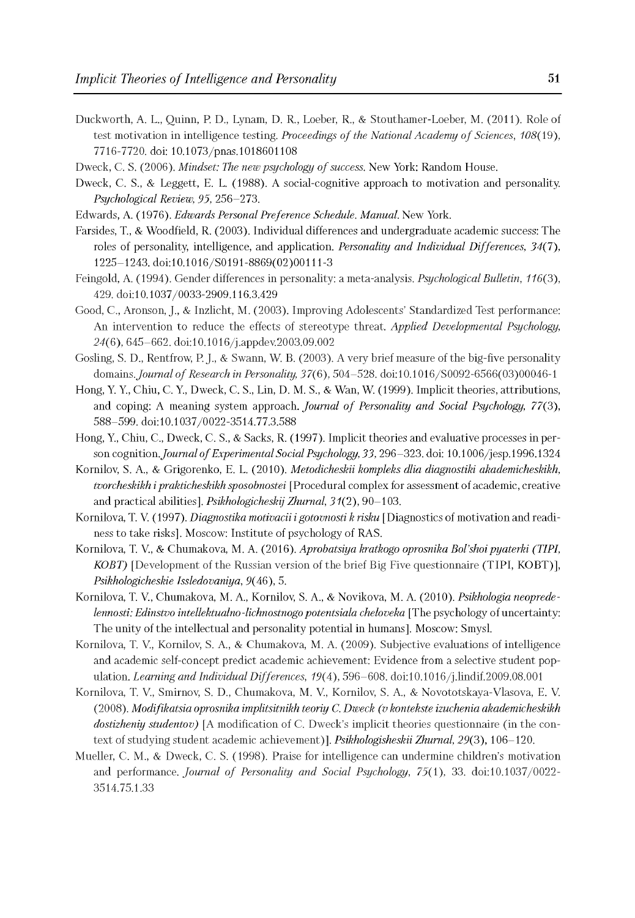- Duckworth, A. L., Quinn, P. D., Lynam, D. R., Loeber, R., & Stouthamer-Loeber, M. (2011). Role of test motivation in intelligence testing. *Proceedings of the National Academy of Sciences, 108(19)*, 7716-7720. doi: 10.1073/pnas.1018601108
- Dweck, C. S. (2006). *Mindset: The new psychology of success*. New York: Random House.
- Dweck, C. S., & Leggett, E. L. (1988). A social-cognitive approach to motivation and personality. *Psychological Review, 95,* 256-273.
- Edwards, A. (1976). *Edwards Personal Preference Schedule. Manual.* New York.
- Farsides, T., & Woodfield, R. (2003). Individual differences and undergraduate academic success: The roles of personality, intelligence, and application. *Personality and Individual Differences, 34(7),* 1225-1243. doi:10.1016/S0191-8869(02)00111-3
- Feingold, A. (1994). Gender differences in personality: a meta-analysis. *Psychological Bulletin,* 116(3), 429. doi:10.1037/0033-2909.116.3.429
- Good, C., Aronson, J., & Inzlicht, M. (2003). Improving Adolescents' Standardized Test performance: An intervention to reduce the effects of stereotype threat. *Applied Developmental Psychology, 24(6),* 645-662. doi:10.1016/j.appdev.2003.09.002
- Gosling, S. D., Rentfrow, P. J., & Swann, W. B. (2003). A very brief measure of the big-five personality domains. *Journal of Research in Personality, 37*(6), 504-528. doi:10.1016/S0092-6566(03)00046-1
- Hong, Y. Y., Chiu, C. Y., Dweck, C. S., Lin, D. M. S., & Wan, W. (1999). Implicit theories, attributions, and coping: A meaning system approach. *Journal of Personality and Social Psychology*, 77(3), 588-599. doi:10.1037/0022-3514.77.3.588
- Hong, Y., Chiu, C., Dweck, C. S., & Sacks, R. (1997). Implicit theories and evaluative processes in person cognition. *Journal o f Experimental Social Psychology, 33,* 296-323. doi: 10.1006/jesp. 1996.1324
- Kornilov, S. A., & Grigorenko, E. L. (2010). *Metodicheskii kompleks dlia diagnostiki akademicheskikh, tvorcheskikh iprakticheskikhsposobnostei* [Procedural complex for assessment of academic, creative and practical abilities]. *Psikhologicheskij Zhurnal,* 31(2), 90-103.
- Kornilova, T. V. (1997). *Diagnostika motivacii igotovnosti k risku* [Diagnostics of motivation and readiness to take risks]. Moscow: Institute of psychology of RAS.
- Kornilova, T. V., & Chumakova, M. A. (2016). *Aprobatsiya kratkogo oprosnika Bol'shoipyaterki (TIPI, KOBT)* [Development of the Russian version of the brief Big Five questionnaire (TIPI, KOBT)], *Psikhologicheskie Issledovaniya*, *9*(46), 5.
- Kornilova, T. V., Chumakova, M. A., Kornilov, S. A., & Novikova, M. A. (2010). *Psikhologia neopredelennosti: Edinstvo intellektualno-lichnostnogo potentsiala cheloveka* [The psychology of uncertainty: The unity of the intellectual and personality potential in humans]. Moscow: Smysl.
- Kornilova, T. V., Kornilov, S. A., & Chumakova, M. A. (2009). Subjective evaluations of intelligence and academic self-concept predict academic achievement: Evidence from a selective student population. *Learning and Individual Differences, 19(4),* 596-608. doi:10.1016/j.lindif.2009.08.001
- Kornilova, T. V., Smirnov, S. D., Chumakova, M. V., Kornilov, S. A., & Novototskaya-Vlasova, E. V. (2008). *Modifikatsia oprosnika implitsitnikh teoriy C. Dweck (v kontekste izuchenia akademicheskikh dostizheniy studentov)* [A modification of C. Dweck's implicit theories questionnaire (in the context of studying student academic achievement)]. *Psikhologisheskii Zhurnal,* 29(3), 106-120.
- Mueller, C. M., & Dweck, C. S. (1998). Praise for intelligence can undermine children's motivation and performance. *Journal of Personality and Social Psychology, 75*(1), 33. doi:10.1037/0022-3514.75.1.33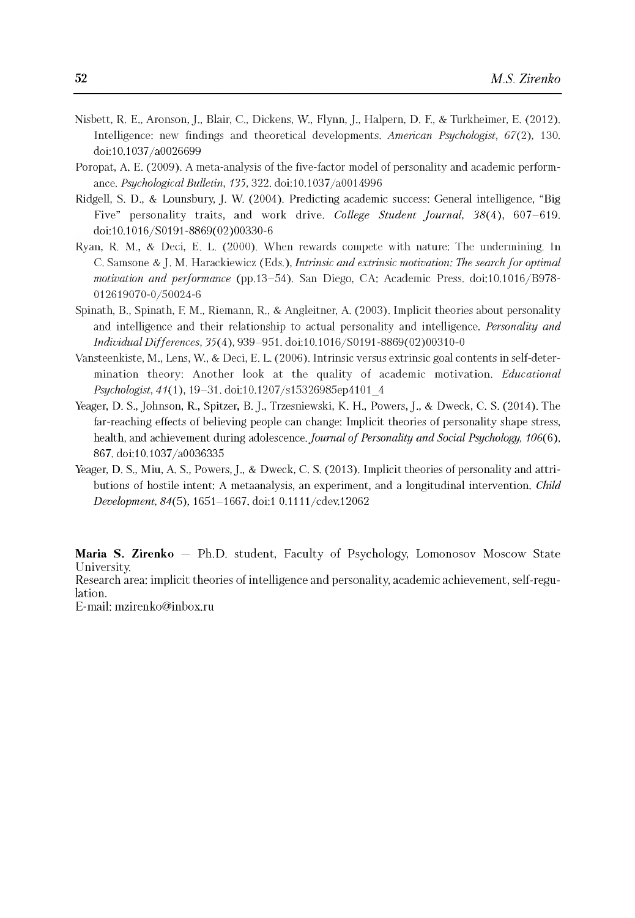- Nisbett, R. E., Aronson, J., Blair, C., Dickens, W., Flynn, J., Halpern, D. F., & Turkheimer, E. (2012). Intelligence: new findings and theoretical developments. *American Psychologist, 67(2),* 130. doi: 10.1037/ a0026699
- Poropat, A. E. (2009). A meta-analysis of the five-factor model of personality and academic performance. *Psychological Bulletin, 135,* 322. doi:10.1037/a0014996
- Ridgell, S. D., & Lounsbury, J. W. (2004). Predicting academic success: General intelligence, "Big Five" personality traits, and work drive. *College Student Journal,* 38(4), 607-619. doi:10.1016/S0191-8869(02)00330-6
- Ryan, R. M., & Deci, E. L. (2000). When rewards compete with nature: The undermining. In C. Samsone & J. M. Harackiewicz (Eds.), *Intrinsic and extrinsic motivation: The search fo r optimal motivation and performance* (pp.13-54). San Diego, CA: Academic Press. doi:10.1016/B978- 012619070-0/50024-6
- Spinath, B., Spinath, F. M., Riemann, R., & Angleitner, A. (2003). Implicit theories about personality and intelligence and their relationship to actual personality and intelligence. *Personality and Individual Differences,* 35(4), 939-951. doi:10.1016/S0191-8869(02)00310-0
- Vansteenkiste, M., Lens, W., & Deci, E. L. (2006). Intrinsic versus extrinsic goal contents in self-determination theory: Another look at the quality of academic motivation. *Educational Psychologist,* 41(1), 19-31. doi:10.1207/s15326985ep4101\_4
- Yeager, D. S., Johnson, R., Spitzer, B. J., Trzesniewski, K. H., Powers, J., & Dweck, C. S. (2014). The far-reaching effects of believing people can change: Implicit theories of personality shape stress, health, and achievement during adolescence. *Journal of Personality and Social Psychology*, 106(6), 867. doi:10.1037/a0036335
- Yeager, D. S., Miu, A. S., Powers, J., & Dweck, C. S. (2013). Implicit theories of personality and attributions of hostile intent: A metaanalysis, an experiment, and a longitudinal intervention. *Child Development, 84(5),* 1651-1667. doi:1 0.1111/cdev.12062

**Maria S. Zirenko** — Ph.D. student, Faculty of Psychology, Lomonosov Moscow State University.

Research area: implicit theories of intelligence and personality, academic achievement, self-regulation.

E-mail: [mzirenko@inbox.ru](mailto:mzirenko@inbox.ru)